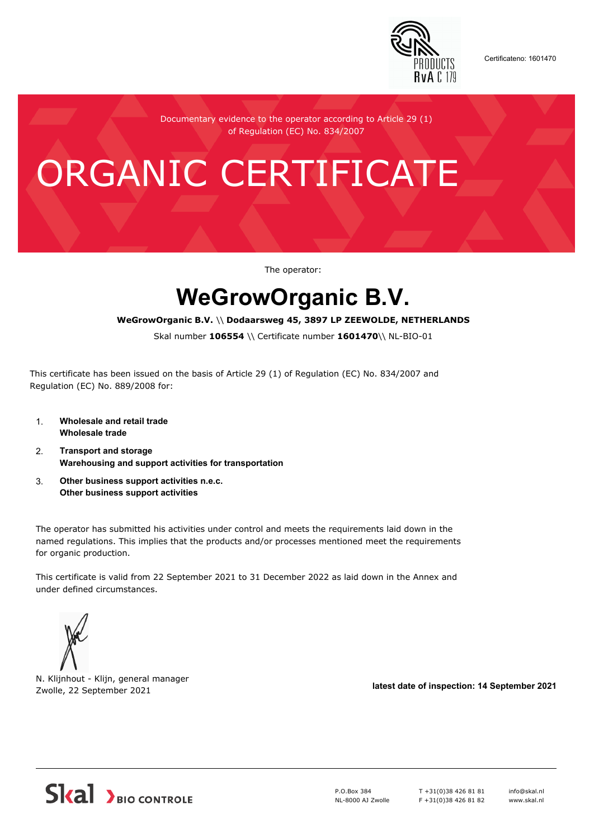

Certificateno: 1601470

Documentary evidence to the operator according to Article 29 (1) of Regulation (EC) No. 834/2007

# ORGANIC CERTIFICATE

The operator:

## **WeGrowOrganic B.V.**

#### **WeGrowOrganic B.V.** \\ **Dodaarsweg 45, 3897 LP ZEEWOLDE, NETHERLANDS**

Skal number **106554** \\ Certificate number **1601470**\\ NL-BIO-01

This certificate has been issued on the basis of Article 29 (1) of Regulation (EC) No. 834/2007 and Regulation (EC) No. 889/2008 for:

- 1. **Wholesale and retail trade Wholesale trade**
- 2. **Transport and storage Warehousing and support activities for transportation**
- 3. **Other business support activities n.e.c. Other business support activities**

The operator has submitted his activities under control and meets the requirements laid down in the named regulations. This implies that the products and/or processes mentioned meet the requirements for organic production.

This certificate is valid from 22 September 2021 to 31 December 2022 as laid down in the Annex and under defined circumstances.



N. Klijnhout - Klijn, general manager Zwolle, 22 September 2021 **latest date of inspection: 14 September 2021**



P.O.Box 384 NL-8000 AJ Zwolle